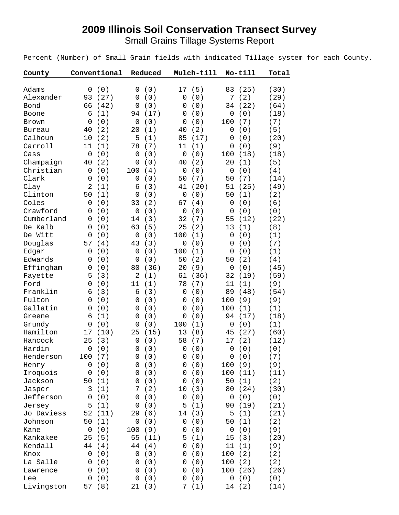## **2009 Illinois Soil Conservation Transect Survey**

Small Grains Tillage Systems Report

Percent (Number) of Small Grain fields with indicated Tillage system for each County.

| County        | Conventional          | Reduced               | Mulch-till                 | No-till                    | Total |
|---------------|-----------------------|-----------------------|----------------------------|----------------------------|-------|
|               |                       |                       |                            |                            |       |
| Adams         | (0)<br>0              | (0)<br>0              | 17<br>(5)                  | 83<br>(25)                 | (30)  |
| Alexander     | 93<br>(27)            | (0)<br>0              | (0)<br>0                   | (2)<br>7                   | (29)  |
| Bond          | 66<br>(42)            | (0)<br>0              | (0)<br>0                   | (22)<br>34                 | (64)  |
| Boone         | (1)<br>6              | (17)<br>94            | (0)<br>0                   | (0)<br>0                   | (18)  |
| Brown         | (0)<br>$\overline{0}$ | (0)<br>$\mathbf 0$    | (0)<br>0                   | (7)<br>100                 | (7)   |
| <b>Bureau</b> | (2)<br>40             | (1)<br>20             | (2)<br>40                  | (0)<br>$\mathbf 0$         | (5)   |
| Calhoun       | 10<br>(2)             | 5<br>(1)              | 85<br>(17)                 | (0)<br>0                   | (20)  |
| Carroll       | (1)<br>11             | 78<br>(7)             | (1)<br>11                  | (0)<br>$\mathbf 0$         | (9)   |
| Cass          | (0)<br>$\mathbf 0$    | (0)<br>$\mathbf 0$    | (0)<br>$\mathbf 0$         | (18)<br>100                | (18)  |
| Champaign     | (2)<br>40             | $\mathbf 0$<br>(0)    | (2)<br>40                  | (1)<br>20                  | (5)   |
| Christian     | (0)<br>$\mathbf 0$    | 100<br>(4)            | (0)<br>$\mathbf 0$         | (0)<br>$\mathbf 0$         | (4)   |
| Clark         | (0)<br>$\overline{0}$ | (0)<br>$\mathbf 0$    | (7)<br>50                  | 50<br>(7)                  | (14)  |
| Clay          | (1)<br>2              | (3)<br>6              | (20)<br>41                 | 51<br>(25)                 | (49)  |
| Clinton       | (1)<br>50             | (0)<br>0              | (0)<br>$\mathbf 0$         | 50<br>(1)                  | (2)   |
| Coles         | (0)<br>0              | (2)<br>33             | (4)<br>67                  | (0)<br>0                   | (6)   |
| Crawford      | (0)<br>0              | (0)<br>0              | $\mathbf 0$<br>(0)         | (0)<br>0                   | (0)   |
| Cumberland    | (0)<br>0              | (3)<br>14             | 32<br>(7)                  | 55<br>(12)                 | (22)  |
| De Kalb       | (0)<br>0              | 63<br>(5)             | 25<br>(2)                  | 13<br>(1)                  | (8)   |
| De Witt       | (0)<br>0              | (0)<br>0              | 100<br>(1)                 | (0)<br>$\overline{0}$      | (1)   |
| Douglas       | (4)<br>57             | 43<br>(3)             | (0)<br>$\mathsf{O}\xspace$ | 0<br>(0)                   | (7)   |
| Edgar         | $\mathbf 0$<br>(0)    | (0)<br>0              | 100<br>(1)                 | (0)<br>$\mathbf 0$         | (1)   |
| Edwards       | (0)<br>0              | (0)<br>$\mathbf 0$    | (2)<br>50                  | (2)<br>50                  | (4)   |
| Effingham     | (0)<br>0              | (36)<br>80            | 20<br>(9)                  | (0)<br>$\mathbf 0$         | (45)  |
| Fayette       | (3)<br>5              | $\overline{2}$<br>(1) | (36)<br>61                 | 32<br>(19)                 | (59)  |
| Ford          | (0)<br>0              | 11<br>(1)             | (7)<br>78                  | 11<br>(1)                  | (9)   |
| Franklin      | (3)<br>6              | (3)<br>6              | (0)<br>$\mathbf 0$         | 89<br>(48)                 | (54)  |
| Fulton        | (0)<br>0              | (0)<br>0              | (0)<br>0                   | 100<br>(9)                 | (9)   |
| Gallatin      | (0)<br>0              | (0)<br>0              | (0)<br>0                   | 100<br>(1)                 | (1)   |
| Greene        | (1)<br>6              | (0)<br>0              | (0)<br>0                   | (17)<br>94                 | (18)  |
| Grundy        | (0)<br>0              | (0)<br>0              | (1)<br>100                 | (0)<br>0                   | (1)   |
| Hamilton      | (10)<br>17            | 25<br>(15)            | 13<br>(8)                  | (27)<br>45                 | (60)  |
| Hancock       | (3)<br>25             | (0)<br>0              | 58<br>(7)                  | 17<br>(2)                  | (12)  |
| Hardin        | (0)<br>$\mathbf 0$    | (0)<br>0              | 0<br>(0)                   | (0)<br>$\mathbf 0$         | (0)   |
| Henderson     | 100<br>(7)            | $\mathbf 0$<br>(0)    | $\mathbf 0$<br>(0)         | 0<br>(0)                   | (7)   |
| Henry         | (0)<br>0              | (0)<br>0              | (0)<br>0                   | 100<br>(9)                 | (9)   |
| Iroquois      | (0)<br>0              | (0)<br>0              | (0)<br>0                   | 100<br>(11)                | (11)  |
| Jackson       | 50<br>(1)             | (0)<br>0              | (0)<br>0                   | (1)<br>50                  | (2)   |
| Jasper        | (1)<br>3              | (2)<br>7              | (3)<br>10                  | (24)<br>80                 | (30)  |
| Jefferson     | (0)<br>0              | (0)<br>0              | $\mathsf 0$<br>(0)         | $\mathsf{O}\xspace$<br>(0) | (0)   |
| Jersey        | (1)<br>5              | (0)<br>0              | (1)<br>5                   | 90<br>(19)                 | (21)  |
| Jo Daviess    | 52<br>(11)            | (6)<br>29             | (3)<br>14                  | (1)<br>5                   | (21)  |
| Johnson       | (1)<br>50             | 0<br>(0)              | (0)<br>0                   | (1)<br>50                  | (2)   |
| Kane          | 0<br>(0)              | 100<br>(9)            | (0)<br>0                   | (0)<br>0                   | (9)   |
| Kankakee      | 25<br>(5)             | 55<br>(11)            | 5<br>(1)                   | (3)<br>15                  | (20)  |
| Kendall       | 44<br>(4)             | 44<br>(4)             | (0)<br>0                   | 11<br>(1)                  | (9)   |
| Knox          | (0)<br>0              | (0)<br>0              | (0)<br>0                   | 100<br>(2)                 | (2)   |
| La Salle      | (0)<br>0              | (0)<br>0              | (0)<br>0                   | (2)<br>100                 | (2)   |
| Lawrence      | (0)<br>0              | (0)<br>0              | (0)<br>0                   | 100<br>(26)                | (26)  |
| Lee           | (0)<br>0              | (0)<br>0              | (0)<br>0                   | (0)<br>0                   | (0)   |
| Livingston    | (8)<br>57             | (3)<br>21             | (1)<br>7                   | (2)<br>14                  | (14)  |